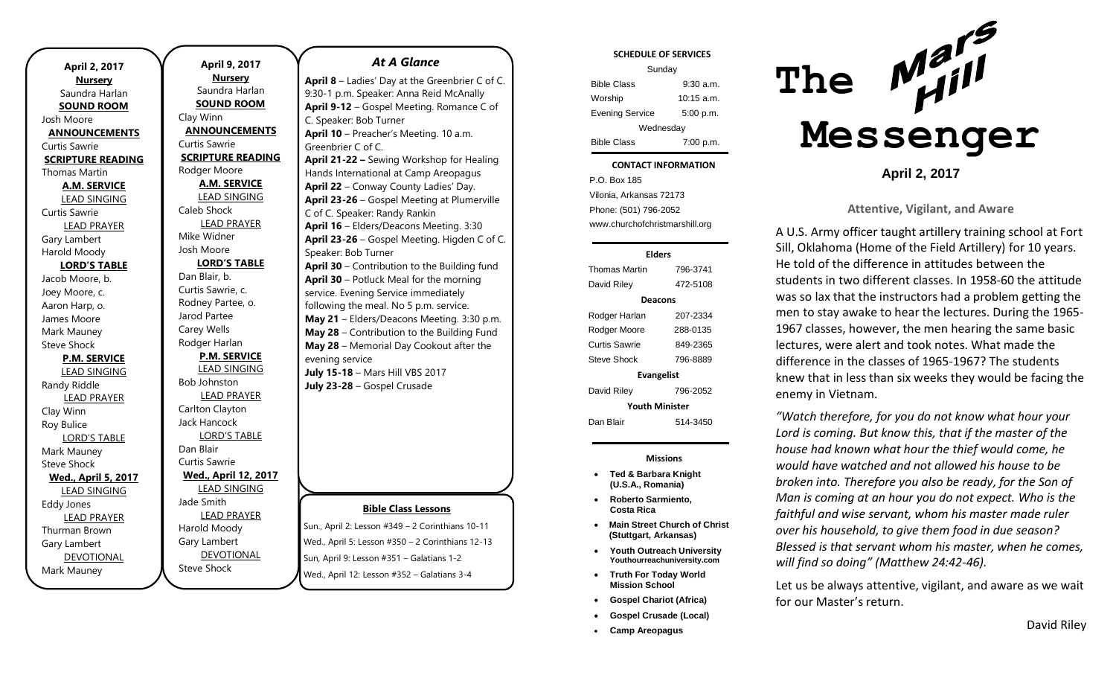| April 2, 2017              |
|----------------------------|
| <b>Nursery</b>             |
| Saundra Harlan             |
| <b>SOUND ROOM</b>          |
| Josh Moore                 |
| <b>ANNOUNCEMENTS</b>       |
| <b>Curtis Sawrie</b>       |
| <b>SCRIPTURE READING</b>   |
| <b>Thomas Martin</b>       |
| <b>A.M. SERVICE</b>        |
| <b>LEAD SINGING</b>        |
| Curtis Sawrie              |
| <b>LEAD PRAYER</b>         |
| Gary Lambert               |
| Harold Moody               |
| <b>LORD'S TABLE</b>        |
| Jacob Moore, b.            |
| Joey Moore, c.             |
| Aaron Harp, o.             |
| James Moore                |
| Mark Mauney                |
| <b>Steve Shock</b>         |
| <b>P.M. SERVICE</b>        |
| <b>LEAD SINGING</b>        |
| Randy Riddle               |
| <b>LEAD PRAYER</b>         |
| Clay Winn                  |
| Roy Bulice                 |
| <b>LORD'S TABLE</b>        |
| Mark Mauney                |
| <b>Steve Shock</b>         |
| <b>Wed., April 5, 2017</b> |
| <b>LEAD SINGING</b>        |
| <b>Eddy Jones</b>          |
| <b>LEAD PRAYER</b>         |
| Thurman Brown              |
| Gary Lambert               |
| <b>DEVOTIONAL</b>          |
| Mark Mauney                |

**April 9, 2017 Nursery** Saundra Harlan **SOUND ROOM** Clay Winn **ANNOUNCEMENTS** Curtis Sawrie **SCRIPTURE READING** Rodger Moore **A.M. SERVICE** LEAD SINGING Caleb Shock LEAD PRAYER Mike Widner Josh Moore **LORD'S TABLE** Dan Blair, b. Curtis Sawrie, c. Rodney Partee, o. Jarod Partee Carey Wells Rodger Harlan **P.M. SERVICE** LEAD SINGING Bob Johnston LEAD PRAYER Carlton Clayton Jack Hancock LORD'S TABLE Dan Blair Curtis Sawrie **Wed., April 12, 2017** LEAD SINGING Jade Smith LEAD PRAYER Harold Moody Gary Lambert DEVOTIONAL

Steve Shock

## *At A Glance*

**April 8** – Ladies' Day at the Greenbrier C of C. 9:30-1 p.m. Speaker: Anna Reid McAnally **April 9-12** – Gospel Meeting. Romance C of C. Speaker: Bob Turner **April 10** – Preacher's Meeting. 10 a.m. Greenbrier C of C. **April 21-22 –** Sewing Workshop for Healing Hands International at Camp Areopagus **April 22** – Conway County Ladies' Day. **April 23-26** – Gospel Meeting at Plumerville C of C. Speaker: Randy Rankin **April 16** – Elders/Deacons Meeting. 3:30 **April 23-26** – Gospel Meeting. Higden C of C. Speaker: Bob Turner **April 30** – Contribution to the Building fund **April 30** – Potluck Meal for the morning service. Evening Service immediately following the meal. No 5 p.m. service. **May 21** – Elders/Deacons Meeting. 3:30 p.m. **May 28** – Contribution to the Building Fund **May 28** – Memorial Day Cookout after the evening service **July 15-18** – Mars Hill VBS 2017 **July 23-28** – Gospel Crusade

## **Bible Class Lessons**

Sun., April 2: Lesson #349 – 2 Corinthians 10-11 Wed., April 5: Lesson #350 – 2 Corinthians 12-13 Sun, April 9: Lesson #351 – Galatians 1-2 Wed., April 12: Lesson #352 – Galatians 3-4

#### **SCHEDULE OF SERVICES**

| Sunday                 |              |  |
|------------------------|--------------|--|
| <b>Bible Class</b>     | 9:30 a.m.    |  |
| Worship                | $10:15$ a.m. |  |
| <b>Evening Service</b> | 5:00 p.m.    |  |
| Wednesday              |              |  |
| <b>Bible Class</b>     | 7:00 p.m.    |  |

#### Tuesday **CONTACT INFORMATION**

. .o. Bex 166<br>Vilonia, Arkansas 72173 P.O. Box 185 Phone: (501) 796-2052 www.churchofchristmarshill.org

## **Elders**

| <b>Thomas Martin</b>  | 796-3741 |  |
|-----------------------|----------|--|
| David Riley           | 472-5108 |  |
| Deacons               |          |  |
| Rodger Harlan         | 207-2334 |  |
| Rodger Moore          | 288-0135 |  |
| Curtis Sawrie         | 849-2365 |  |
| Steve Shock           | 796-8889 |  |
| <b>Evangelist</b>     |          |  |
| David Riley           | 796-2052 |  |
| <b>Youth Minister</b> |          |  |
| Dan Blair             | 514-3450 |  |

### **Missions**

- **Ted & Barbara Knight (U.S.A., Romania)**
- **Roberto Sarmiento, Costa Rica**
- **Main Street Church of Christ (Stuttgart, Arkansas)**
- **Youth Outreach University Youthourreachuniversity.com**
- **Truth For Today World Mission School**
- **Gospel Chariot (Africa)**
- **Gospel Crusade (Local)**
- **Camp Areopagus**



**April 2, 2017**

### **Attentive, Vigilant, and Aware**

A U.S. Army officer taught artillery training school at Fort Sill, Oklahoma (Home of the Field Artillery) for 10 years. He told of the difference in attitudes between the students in two different classes. In 1958-60 the attitude was so lax that the instructors had a problem getting the men to stay awake to hear the lectures. During the 1965- 1967 classes, however, the men hearing the same basic lectures, were alert and took notes. What made the difference in the classes of 1965-1967? The students knew that in less than six weeks they would be facing the enemy in Vietnam.

*"Watch therefore, for you do not know what hour your Lord is coming. But know this, that if the master of the house had known what hour the thief would come, he would have watched and not allowed his house to be broken into. Therefore you also be ready, for the Son of Man is coming at an hour you do not expect. Who is the faithful and wise servant, whom his master made ruler over his household, to give them food in due season? Blessed is that servant whom his master, when he comes, will find so doing" (Matthew 24:42-46).* 

Let us be always attentive, vigilant, and aware as we wait for our Master's return.